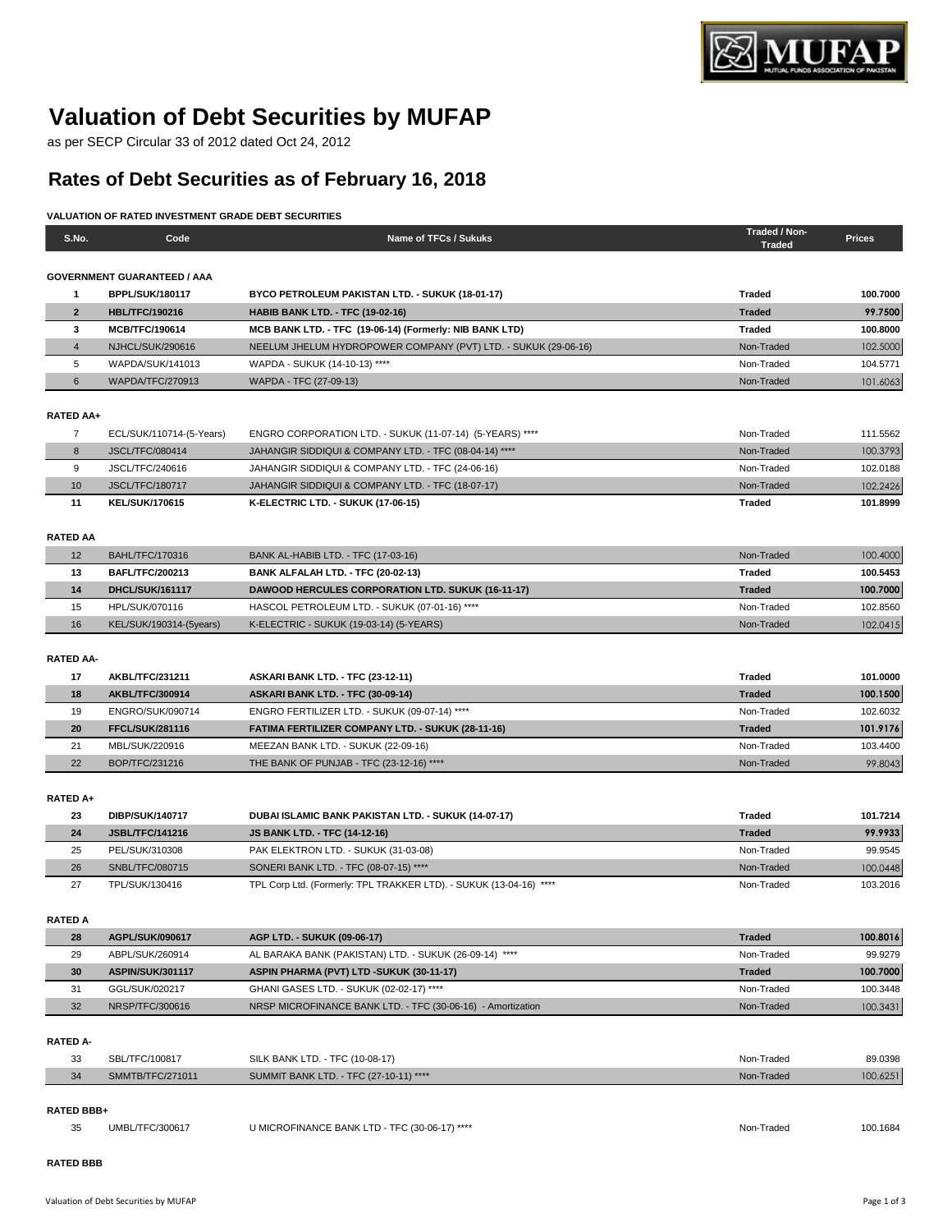

# **Valuation of Debt Securities by MUFAP**

as per SECP Circular 33 of 2012 dated Oct 24, 2012

## **Rates of Debt Securities as of February 16, 2018**

### **VALUATION OF RATED INVESTMENT GRADE DEBT SECURITIES**

| S.No.            | Code                               | Name of TFCs / Sukuks                                                     | Traded / Non-<br><b>Traded</b> | <b>Prices</b> |
|------------------|------------------------------------|---------------------------------------------------------------------------|--------------------------------|---------------|
|                  |                                    |                                                                           |                                |               |
|                  | <b>GOVERNMENT GUARANTEED / AAA</b> |                                                                           |                                |               |
| $\mathbf{1}$     | <b>BPPL/SUK/180117</b>             | BYCO PETROLEUM PAKISTAN LTD. - SUKUK (18-01-17)                           | <b>Traded</b>                  | 100.7000      |
| $\overline{2}$   | <b>HBL/TFC/190216</b>              | <b>HABIB BANK LTD. - TFC (19-02-16)</b>                                   | <b>Traded</b>                  | 99.7500       |
| 3                | <b>MCB/TFC/190614</b>              | MCB BANK LTD. - TFC (19-06-14) (Formerly: NIB BANK LTD)                   | <b>Traded</b>                  | 100.8000      |
| $\overline{4}$   | NJHCL/SUK/290616                   | NEELUM JHELUM HYDROPOWER COMPANY (PVT) LTD. - SUKUK (29-06-16)            | Non-Traded                     | 102.5000      |
| 5                | WAPDA/SUK/141013                   | WAPDA - SUKUK (14-10-13) ****                                             | Non-Traded                     | 104.5771      |
| 6                | WAPDA/TFC/270913                   | WAPDA - TFC (27-09-13)                                                    | Non-Traded                     | 101.6063      |
|                  |                                    |                                                                           |                                |               |
| RATED AA+        |                                    |                                                                           |                                |               |
| $\overline{7}$   | ECL/SUK/110714-(5-Years)           | ENGRO CORPORATION LTD. - SUKUK (11-07-14) (5-YEARS) ****                  | Non-Traded                     | 111.5562      |
| 8                | <b>JSCL/TFC/080414</b>             | JAHANGIR SIDDIQUI & COMPANY LTD. - TFC (08-04-14) ****                    | Non-Traded                     | 100.3793      |
| 9                | JSCL/TFC/240616                    | JAHANGIR SIDDIQUI & COMPANY LTD. - TFC (24-06-16)                         | Non-Traded                     | 102.0188      |
| 10               | <b>JSCL/TFC/180717</b>             | JAHANGIR SIDDIQUI & COMPANY LTD. - TFC (18-07-17)                         | Non-Traded                     | 102.2426      |
| 11               | <b>KEL/SUK/170615</b>              | K-ELECTRIC LTD. - SUKUK (17-06-15)                                        | <b>Traded</b>                  | 101.8999      |
|                  |                                    |                                                                           |                                |               |
| <b>RATED AA</b>  |                                    |                                                                           |                                |               |
| 12               | BAHL/TFC/170316                    | BANK AL-HABIB LTD. - TFC (17-03-16)                                       | Non-Traded                     | 100.4000      |
| 13               | <b>BAFL/TFC/200213</b>             | BANK ALFALAH LTD. - TFC (20-02-13)                                        | <b>Traded</b>                  | 100.5453      |
| 14               | <b>DHCL/SUK/161117</b>             | <b>DAWOOD HERCULES CORPORATION LTD. SUKUK (16-11-17)</b>                  | <b>Traded</b>                  | 100.7000      |
| 15               | HPL/SUK/070116                     | HASCOL PETROLEUM LTD. - SUKUK (07-01-16) ****                             | Non-Traded                     | 102.8560      |
| 16               | KEL/SUK/190314-(5years)            | K-ELECTRIC - SUKUK (19-03-14) (5-YEARS)                                   | Non-Traded                     | 102.0415      |
|                  |                                    |                                                                           |                                |               |
| <b>RATED AA-</b> |                                    |                                                                           |                                |               |
| 17               | <b>AKBL/TFC/231211</b>             | ASKARI BANK LTD. - TFC (23-12-11)                                         | <b>Traded</b>                  | 101.0000      |
| 18               | AKBL/TFC/300914                    | ASKARI BANK LTD. - TFC (30-09-14)                                         | <b>Traded</b>                  | 100.1500      |
| 19               | ENGRO/SUK/090714                   | ENGRO FERTILIZER LTD. - SUKUK (09-07-14) ****                             | Non-Traded                     | 102.6032      |
| 20               | <b>FFCL/SUK/281116</b>             | FATIMA FERTILIZER COMPANY LTD. - SUKUK (28-11-16)                         | <b>Traded</b>                  | 101.9176      |
| 21               | MBL/SUK/220916                     | MEEZAN BANK LTD. - SUKUK (22-09-16)                                       | Non-Traded                     | 103.4400      |
| 22               | BOP/TFC/231216                     | THE BANK OF PUNJAB - TFC (23-12-16) ****                                  | Non-Traded                     | 99.8043       |
|                  |                                    |                                                                           |                                |               |
| RATED A+         |                                    |                                                                           |                                |               |
| 23               | DIBP/SUK/140717                    | DUBAI ISLAMIC BANK PAKISTAN LTD. - SUKUK (14-07-17)                       | Traded                         | 101.7214      |
| 24               | <b>JSBL/TFC/141216</b>             | <b>JS BANK LTD. - TFC (14-12-16)</b>                                      | <b>Traded</b>                  | 99.9933       |
| 25               | PEL/SUK/310308                     | PAK ELEKTRON LTD. - SUKUK (31-03-08)                                      | Non-Traded                     | 99.9545       |
| 26               | SNBL/TFC/080715                    | SONERI BANK LTD. - TFC (08-07-15) ****                                    | Non-Traded                     | 100.0448      |
| 27               | TPL/SUK/130416                     | TPL Corp Ltd. (Formerly: TPL TRAKKER LTD). - SUKUK (13-04-16) ****        | Non-Traded                     | 103.2016      |
| <b>RATED A</b>   |                                    |                                                                           |                                |               |
| 28               | AGPL/SUK/090617                    | AGP LTD. - SUKUK (09-06-17)                                               | <b>Traded</b>                  | 100.8016      |
| 29               | ABPL/SUK/260914                    | AL BARAKA BANK (PAKISTAN) LTD. - SUKUK (26-09-14) ****                    | Non-Traded                     | 99.9279       |
| 30               | <b>ASPIN/SUK/301117</b>            | ASPIN PHARMA (PVT) LTD -SUKUK (30-11-17)                                  | <b>Traded</b>                  | 100.7000      |
| 31               | GGL/SUK/020217                     | GHANI GASES LTD. - SUKUK (02-02-17) ****                                  | Non-Traded                     | 100.3448      |
| 32               | NRSP/TFC/300616                    | NRSP MICROFINANCE BANK LTD. - TFC (30-06-16) - Amortization               | Non-Traded                     | 100.3431      |
|                  |                                    |                                                                           |                                |               |
| <b>RATED A-</b>  |                                    |                                                                           |                                |               |
|                  |                                    |                                                                           | Non-Traded                     | 89.0398       |
| 33<br>34         | SBL/TFC/100817<br>SMMTB/TFC/271011 | SILK BANK LTD. - TFC (10-08-17)<br>SUMMIT BANK LTD. - TFC (27-10-11) **** | Non-Traded                     | 100.6251      |
|                  |                                    |                                                                           |                                |               |
| RATED BBB+       |                                    |                                                                           |                                |               |
| 35               | UMBL/TFC/300617                    | U MICROFINANCE BANK LTD - TFC (30-06-17) ****                             | Non-Traded                     | 100.1684      |
|                  |                                    |                                                                           |                                |               |
|                  |                                    |                                                                           |                                |               |

**RATED BBB**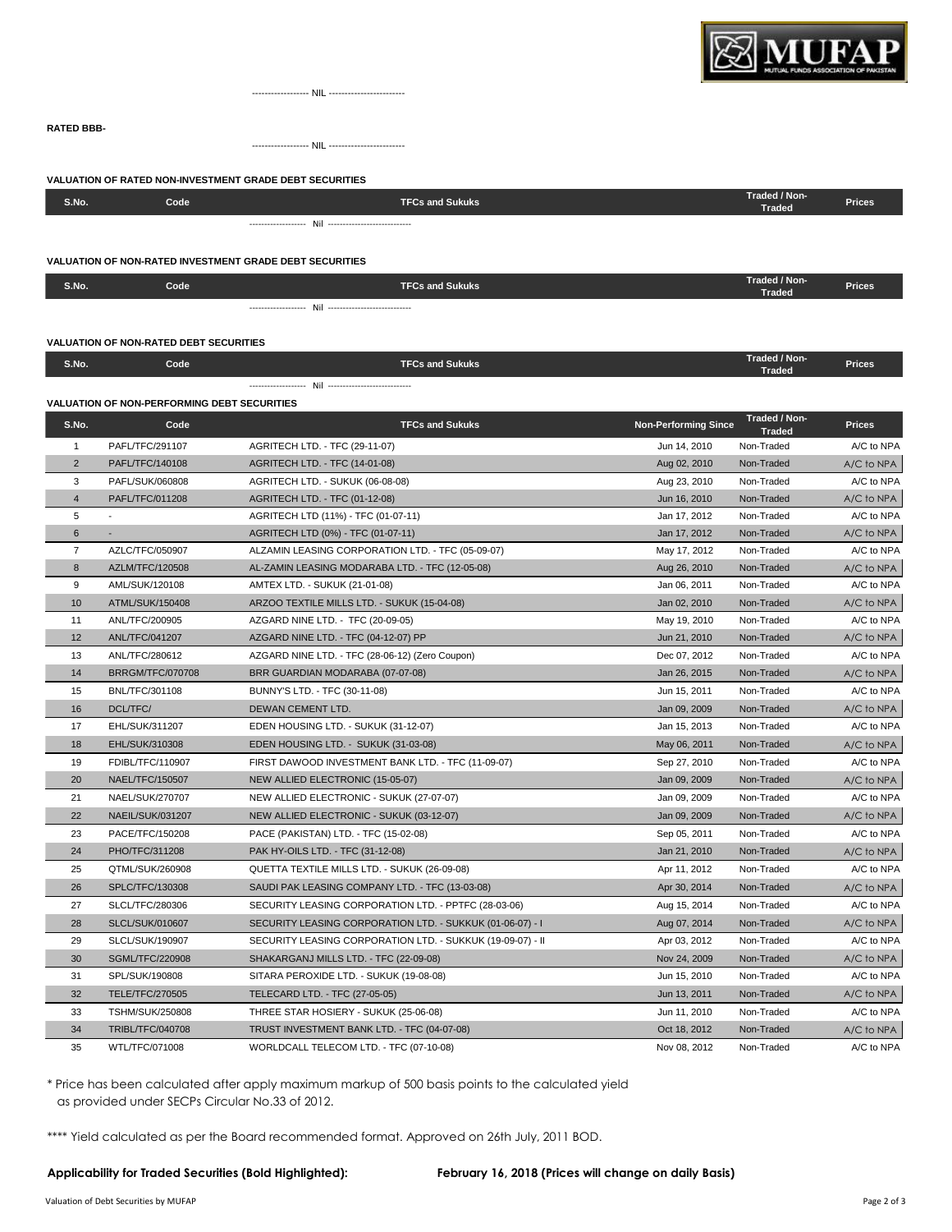

------------------ NIL ------------------------

------------------ NIL ------------------------

#### **VALUATION OF RATED NON-INVESTMENT GRADE DEBT SECURITIES**

| S.No. | Code <sup>1</sup> | TFCs and Sukuks <b>T</b> | Traded / Non-<br><b>Prices</b><br><b>Traded</b> |
|-------|-------------------|--------------------------|-------------------------------------------------|
|       |                   |                          |                                                 |

#### **VALUATION OF NON-RATED INVESTMENT GRADE DEBT SECURITIES**

| S.No. | Code ' | <b>TFCs and Sukuks</b> | Traded / Non-<br><b>Prices</b><br>Traded |
|-------|--------|------------------------|------------------------------------------|
|       |        |                        |                                          |

#### **VALUATION OF NON-RATED DEBT SECURITIES**

**RATED BBB-**

| S.No. | Code <sup>1</sup> | TFCs and Sukuks | Traded / Non-<br><b>Prices</b><br>Traded |
|-------|-------------------|-----------------|------------------------------------------|
|       |                   |                 |                                          |

#### **VALUATION OF NON-PERFORMING DEBT SECURITIES**

| S.No.          | Code                    | <b>TFCs and Sukuks</b>                                     | <b>Non-Performing Since</b> | Traded / Non-<br><b>Traded</b> | <b>Prices</b> |
|----------------|-------------------------|------------------------------------------------------------|-----------------------------|--------------------------------|---------------|
| $\mathbf{1}$   | PAFL/TFC/291107         | AGRITECH LTD. - TFC (29-11-07)                             | Jun 14, 2010                | Non-Traded                     | A/C to NPA    |
| $\overline{2}$ | PAFL/TFC/140108         | <b>AGRITECH LTD. - TFC (14-01-08)</b>                      | Aug 02, 2010                | Non-Traded                     | A/C to NPA    |
| 3              | PAFL/SUK/060808         | AGRITECH LTD. - SUKUK (06-08-08)                           | Aug 23, 2010                | Non-Traded                     | A/C to NPA    |
| $\overline{4}$ | PAFL/TFC/011208         | <b>AGRITECH LTD. - TFC (01-12-08)</b>                      | Jun 16, 2010                | Non-Traded                     | A/C to NPA    |
| 5              |                         | AGRITECH LTD (11%) - TFC (01-07-11)                        | Jan 17, 2012                | Non-Traded                     | A/C to NPA    |
| $\,6$          |                         | AGRITECH LTD (0%) - TFC (01-07-11)                         | Jan 17, 2012                | Non-Traded                     | A/C to NPA    |
| $\overline{7}$ | AZLC/TFC/050907         | ALZAMIN LEASING CORPORATION LTD. - TFC (05-09-07)          | May 17, 2012                | Non-Traded                     | A/C to NPA    |
| 8              | AZLM/TFC/120508         | AL-ZAMIN LEASING MODARABA LTD. - TFC (12-05-08)            | Aug 26, 2010                | Non-Traded                     | A/C to NPA    |
| 9              | AML/SUK/120108          | AMTEX LTD. - SUKUK (21-01-08)                              | Jan 06, 2011                | Non-Traded                     | A/C to NPA    |
| 10             | ATML/SUK/150408         | ARZOO TEXTILE MILLS LTD. - SUKUK (15-04-08)                | Jan 02, 2010                | Non-Traded                     | A/C to NPA    |
| 11             | ANL/TFC/200905          | AZGARD NINE LTD. - TFC (20-09-05)                          | May 19, 2010                | Non-Traded                     | A/C to NPA    |
| 12             | ANL/TFC/041207          | AZGARD NINE LTD. - TFC (04-12-07) PP                       | Jun 21, 2010                | Non-Traded                     | A/C to NPA    |
| 13             | ANL/TFC/280612          | AZGARD NINE LTD. - TFC (28-06-12) (Zero Coupon)            | Dec 07, 2012                | Non-Traded                     | A/C to NPA    |
| 14             | <b>BRRGM/TFC/070708</b> | BRR GUARDIAN MODARABA (07-07-08)                           | Jan 26, 2015                | Non-Traded                     | A/C to NPA    |
| 15             | BNL/TFC/301108          | BUNNY'S LTD. - TFC (30-11-08)                              | Jun 15, 2011                | Non-Traded                     | A/C to NPA    |
| 16             | <b>DCL/TFC/</b>         | DEWAN CEMENT LTD.                                          | Jan 09, 2009                | Non-Traded                     | A/C to NPA    |
| 17             | EHL/SUK/311207          | EDEN HOUSING LTD. - SUKUK (31-12-07)                       | Jan 15, 2013                | Non-Traded                     | A/C to NPA    |
| 18             | EHL/SUK/310308          | EDEN HOUSING LTD. - SUKUK (31-03-08)                       | May 06, 2011                | Non-Traded                     | A/C to NPA    |
| 19             | FDIBL/TFC/110907        | FIRST DAWOOD INVESTMENT BANK LTD. - TFC (11-09-07)         | Sep 27, 2010                | Non-Traded                     | A/C to NPA    |
| 20             | NAEL/TFC/150507         | NEW ALLIED ELECTRONIC (15-05-07)                           | Jan 09, 2009                | Non-Traded                     | A/C to NPA    |
| 21             | NAEL/SUK/270707         | NEW ALLIED ELECTRONIC - SUKUK (27-07-07)                   | Jan 09, 2009                | Non-Traded                     | A/C to NPA    |
| 22             | NAEIL/SUK/031207        | NEW ALLIED ELECTRONIC - SUKUK (03-12-07)                   | Jan 09, 2009                | Non-Traded                     | A/C to NPA    |
| 23             | PACE/TFC/150208         | PACE (PAKISTAN) LTD. - TFC (15-02-08)                      | Sep 05, 2011                | Non-Traded                     | A/C to NPA    |
| 24             | PHO/TFC/311208          | PAK HY-OILS LTD. - TFC (31-12-08)                          | Jan 21, 2010                | Non-Traded                     | A/C to NPA    |
| 25             | QTML/SUK/260908         | QUETTA TEXTILE MILLS LTD. - SUKUK (26-09-08)               | Apr 11, 2012                | Non-Traded                     | A/C to NPA    |
| 26             | SPLC/TFC/130308         | SAUDI PAK LEASING COMPANY LTD. - TFC (13-03-08)            | Apr 30, 2014                | Non-Traded                     | A/C to NPA    |
| 27             | SLCL/TFC/280306         | SECURITY LEASING CORPORATION LTD. - PPTFC (28-03-06)       | Aug 15, 2014                | Non-Traded                     | A/C to NPA    |
| 28             | <b>SLCL/SUK/010607</b>  | SECURITY LEASING CORPORATION LTD. - SUKKUK (01-06-07) - I  | Aug 07, 2014                | Non-Traded                     | A/C to NPA    |
| 29             | SLCL/SUK/190907         | SECURITY LEASING CORPORATION LTD. - SUKKUK (19-09-07) - II | Apr 03, 2012                | Non-Traded                     | A/C to NPA    |
| 30             | <b>SGML/TFC/220908</b>  | SHAKARGANJ MILLS LTD. - TFC (22-09-08)                     | Nov 24, 2009                | Non-Traded                     | A/C to NPA    |
| 31             | SPL/SUK/190808          | SITARA PEROXIDE LTD. - SUKUK (19-08-08)                    | Jun 15, 2010                | Non-Traded                     | A/C to NPA    |
| 32             | <b>TELE/TFC/270505</b>  | TELECARD LTD. - TFC (27-05-05)                             | Jun 13, 2011                | Non-Traded                     | A/C to NPA    |
| 33             | <b>TSHM/SUK/250808</b>  | THREE STAR HOSIERY - SUKUK (25-06-08)                      | Jun 11, 2010                | Non-Traded                     | A/C to NPA    |
| 34             | TRIBL/TFC/040708        | TRUST INVESTMENT BANK LTD. - TFC (04-07-08)                | Oct 18, 2012                | Non-Traded                     | A/C to NPA    |
| 35             | WTL/TFC/071008          | WORLDCALL TELECOM LTD. - TFC (07-10-08)                    | Nov 08, 2012                | Non-Traded                     | A/C to NPA    |

\* Price has been calculated after apply maximum markup of 500 basis points to the calculated yield as provided under SECPs Circular No.33 of 2012.

\*\*\*\* Yield calculated as per the Board recommended format. Approved on 26th July, 2011 BOD.